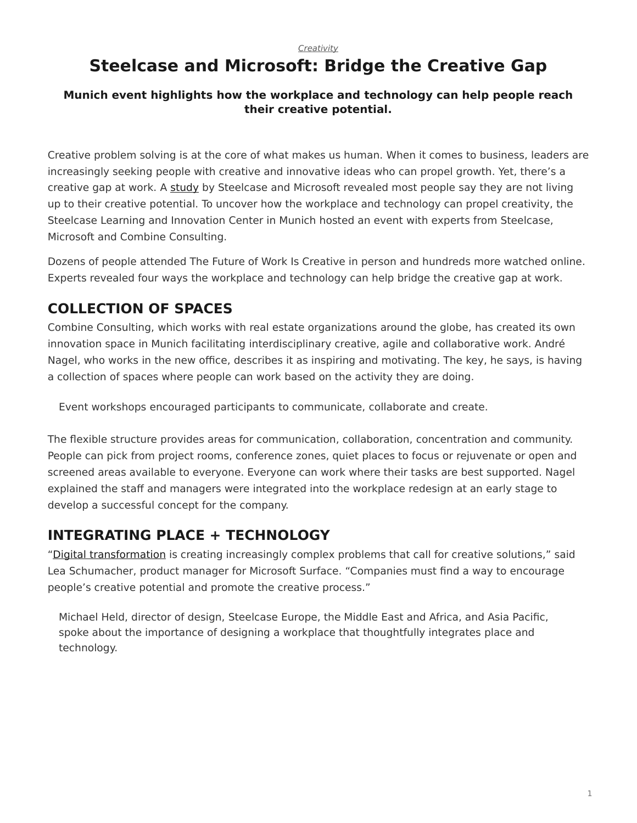#### *[Creativity](https://www.steelcase.com/research/topics/creativity/)*

## <span id="page-0-0"></span>**Steelcase and Microsoft: Bridge the Creative Gap**

#### **Munich event highlights how the workplace and technology can help people reach their creative potential.**

Creative problem solving is at the core of what makes us human. When it comes to business, leaders are increasingly seeking people with creative and innovative ideas who can propel growth. Yet, there's a creative gap at work. A [study](https://www.steelcase.com/research/articles/topics/technology/trends-360/) by Steelcase and Microsoft revealed most people say they are not living up to their creative potential. To uncover how the workplace and technology can propel creativity, the Steelcase Learning and Innovation Center in Munich hosted an event with experts from Steelcase, Microsoft and Combine Consulting.

Dozens of people attended The Future of Work Is Creative in person and hundreds more watched online. Experts revealed four ways the workplace and technology can help bridge the creative gap at work.

#### **COLLECTION OF SPACES**

Combine Consulting, which works with real estate organizations around the globe, has created its own innovation space in Munich facilitating interdisciplinary creative, agile and collaborative work. André Nagel, who works in the new office, describes it as inspiring and motivating. The key, he says, is having a collection of spaces where people can work based on the activity they are doing.

Event workshops encouraged participants to communicate, collaborate and create.

The flexible structure provides areas for communication, collaboration, concentration and community. People can pick from project rooms, conference zones, quiet places to focus or rejuvenate or open and screened areas available to everyone. Everyone can work where their tasks are best supported. Nagel explained the staff and managers were integrated into the workplace redesign at an early stage to develop a successful concept for the company.

#### **INTEGRATING PLACE + TECHNOLOGY**

"[Digital transformation](https://www.steelcase.com/research/articles/topics/technology/race-digitize/) is creating increasingly complex problems that call for creative solutions," said Lea Schumacher, product manager for Microsoft Surface. "Companies must find a way to encourage people's creative potential and promote the creative process."

Michael Held, director of design, Steelcase Europe, the Middle East and Africa, and Asia Pacific, spoke about the importance of designing a workplace that thoughtfully integrates place and technology.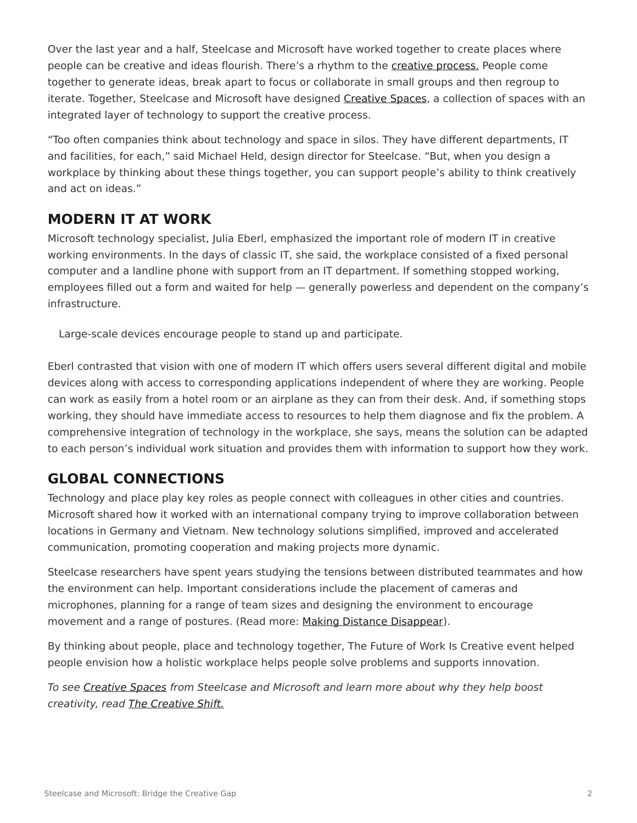Over the last year and a half, Steelcase and Microsoft have worked together to create places where people can be creative and ideas flourish. There's a rhythm to the [creative process.](https://www.steelcase.com/research/articles/topics/creativity/creative-shift/) People come together to generate ideas, break apart to focus or collaborate in small groups and then regroup to iterate. Together, Steelcase and Microsoft have designed [Creative Spaces](https://www.steelcase.com/microsoft-steelcase/creativity/), a collection of spaces with an integrated layer of technology to support the creative process.

"Too often companies think about technology and space in silos. They have different departments, IT and facilities, for each," said Michael Held, design director for Steelcase. "But, when you design a workplace by thinking about these things together, you can support people's ability to think creatively and act on ideas."

#### **MODERN IT AT WORK**

Microsoft technology specialist, Julia Eberl, emphasized the important role of modern IT in creative working environments. In the days of classic IT, she said, the workplace consisted of a fixed personal computer and a landline phone with support from an IT department. If something stopped working, employees filled out a form and waited for help — generally powerless and dependent on the company's infrastructure.

Large-scale devices encourage people to stand up and participate.

Eberl contrasted that vision with one of modern IT which offers users several different digital and mobile devices along with access to corresponding applications independent of where they are working. People can work as easily from a hotel room or an airplane as they can from their desk. And, if something stops working, they should have immediate access to resources to help them diagnose and fix the problem. A comprehensive integration of technology in the workplace, she says, means the solution can be adapted to each person's individual work situation and provides them with information to support how they work.

### **GLOBAL CONNECTIONS**

Technology and place play key roles as people connect with colleagues in other cities and countries. Microsoft shared how it worked with an international company trying to improve collaboration between locations in Germany and Vietnam. New technology solutions simplified, improved and accelerated communication, promoting cooperation and making projects more dynamic.

Steelcase researchers have spent years studying the tensions between distributed teammates and how the environment can help. Important considerations include the placement of cameras and microphones, planning for a range of team sizes and designing the environment to encourage movement and a range of postures. (Read more: [Making Distance Disappear](https://www.steelcase.com/research/articles/topics/distributed-teams/making-distance-disappear/)).

By thinking about people, place and technology together, The Future of Work Is Creative event helped people envision how a holistic workplace helps people solve problems and supports innovation.

*To see [Creative Spaces](https://www.steelcase.com/microsoft-steelcase/creativity/) from Steelcase and Microsoft and learn more about why they help boost creativity, read [The Creative Shift.](https://www.steelcase.com/research/articles/topics/creativity/creative-shift/)*